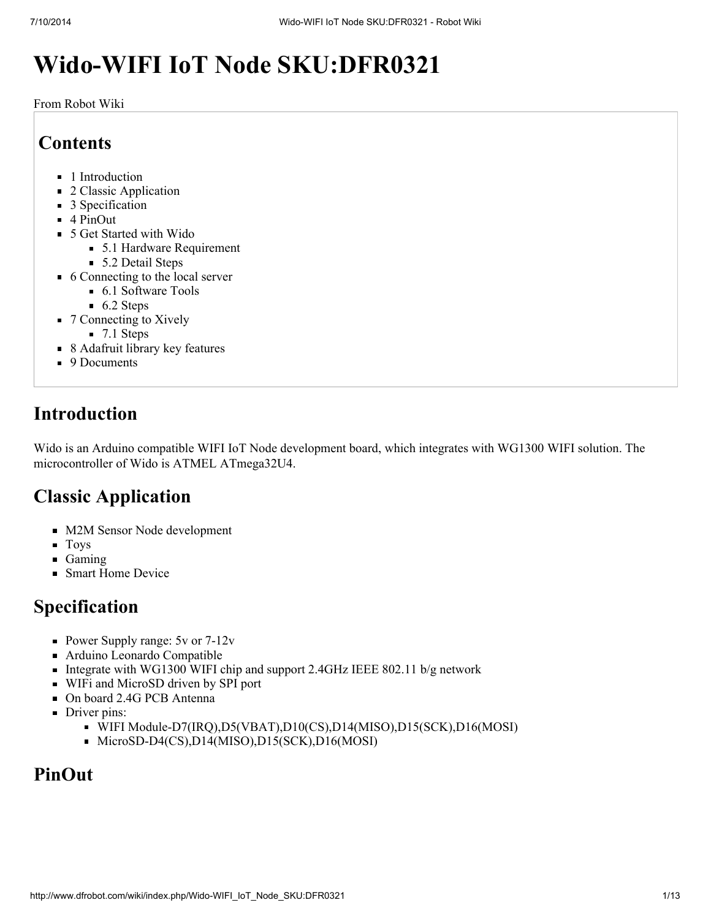# Wido-WIFI IoT Node SKU:DFR0321

From Robot Wiki

## **Contents**

- 1 [Introduction](#page-0-0)
- 2 Classic [Application](#page-0-1)
- 3 [Specification](#page-0-2)
- $\blacksquare$  4 [PinOut](#page-0-3)
- 5 Get [Started](#page-1-0) with Wido
	- 5.1 Hardware [Requirement](#page-1-1)
	- 5.2 [Detail](#page-1-2) Steps
- 6 [Connecting](#page-4-0) to the local server
	- $\blacksquare$  6.1 [Software](#page-4-1) Tools
	- $\blacksquare$  6.2 [Steps](#page-4-2)
- 7 [Connecting](#page-7-0) to Xively
	- $\blacksquare$  7.1 [Steps](#page-7-1)
- 8 [Adafruit](#page-11-0) library key features
- 9 [Documents](#page-12-0)

## <span id="page-0-0"></span>Introduction

Wido is an Arduino compatible WIFI IoT Node development board, which integrates with WG1300 WIFI solution. The microcontroller of Wido is ATMEL ATmega32U4.

## <span id="page-0-1"></span>Classic Application

- M2M Sensor Node development
- **Toys**
- **Gaming**
- **Smart Home Device**

## <span id="page-0-2"></span>Specification

- Power Supply range:  $5v$  or  $7-12v$
- Arduino Leonardo Compatible
- Integrate with WG1300 WIFI chip and support 2.4GHz IEEE 802.11 b/g network
- WIFi and MicroSD driven by SPI port
- On board 2.4G PCB Antenna
- Driver pins:
	- WIFI Module-D7(IRQ),D5(VBAT),D10(CS),D14(MISO),D15(SCK),D16(MOSI)
	- MicroSD-D4(CS),D14(MISO),D15(SCK),D16(MOSI)

## <span id="page-0-3"></span>PinOut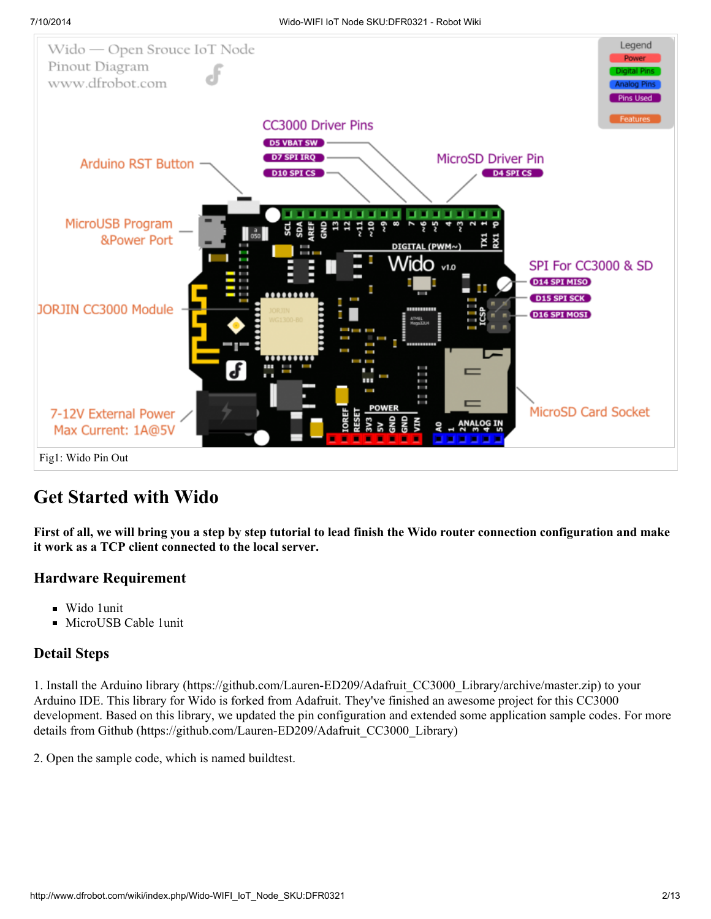

## <span id="page-1-0"></span>Get Started with Wido

First of all, we will bring you a step by step tutorial to lead finish the Wido router connection configuration and make it work as a TCP client connected to the local server.

#### <span id="page-1-1"></span>Hardware Requirement

- Wido 1unit
- MicroUSB Cable 1unit

#### <span id="page-1-2"></span>Detail Steps

1. Install the Arduino library [\(https://github.com/Lauren-ED209/Adafruit\\_CC3000\\_Library/archive/master.zip\)](https://github.com/Lauren-ED209/Adafruit_CC3000_Library/archive/master.zip) to your Arduino IDE. This library for Wido is forked from Adafruit. They've finished an awesome project for this CC3000 development. Based on this library, we updated the pin configuration and extended some application sample codes. For more details from Github [\(https://github.com/Lauren-ED209/Adafruit\\_CC3000\\_Library\)](https://github.com/Lauren-ED209/Adafruit_CC3000_Library)

2. Open the sample code, which is named buildtest.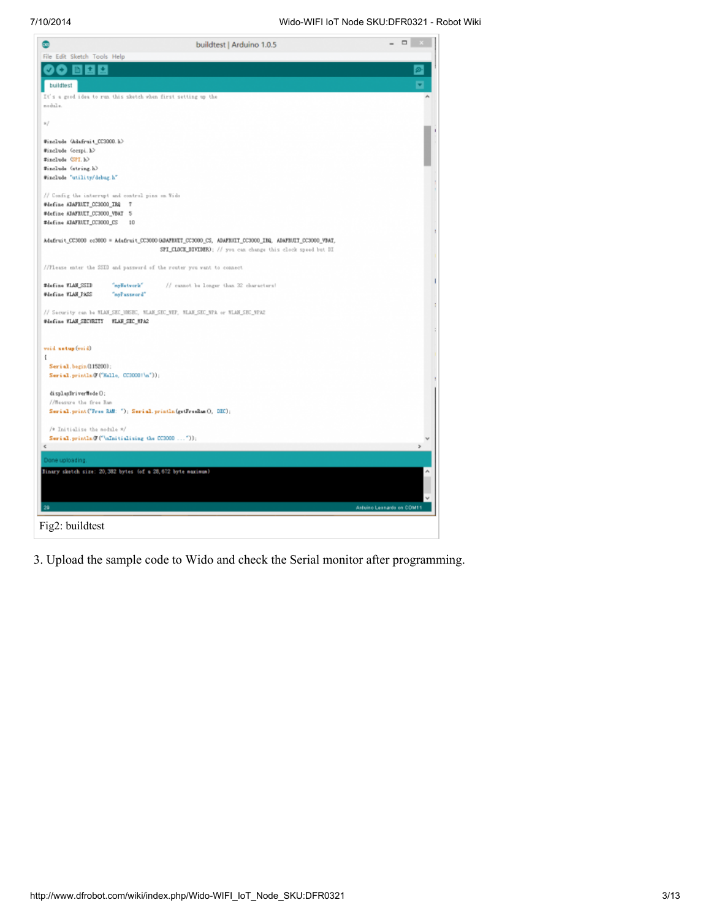

3. Upload the sample code to Wido and check the Serial monitor after programming.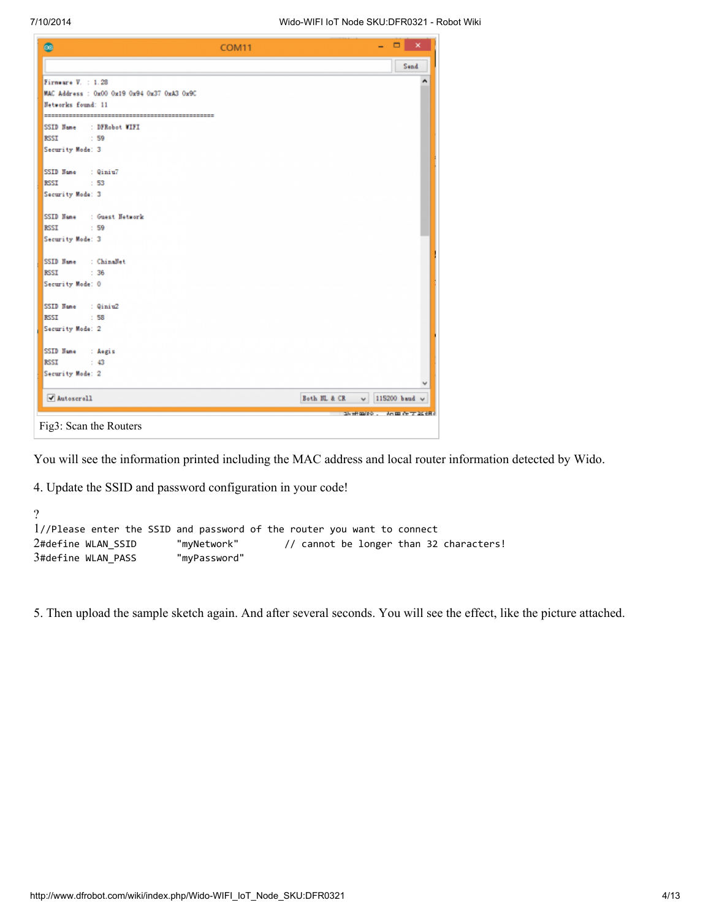| $\bullet$                                                     | COM11 |              |            | ٠             | $\Box$ x |
|---------------------------------------------------------------|-------|--------------|------------|---------------|----------|
|                                                               |       |              |            |               | Send     |
| Firmware V. : 1.28                                            |       |              |            |               | ۸        |
| MAC Address : 0x00 0x19 0x94 0x37 0xA3 0x9C                   |       |              |            |               |          |
| Networks found: 11                                            |       |              |            |               |          |
|                                                               |       |              |            |               |          |
| : DFRobot WIFI<br>SSID Hane<br><b>RSSI</b><br>$\therefore$ 59 |       |              |            |               |          |
|                                                               |       |              |            |               |          |
| Security Mode: 3                                              |       |              |            |               |          |
| SSID Hane : Qiniu7                                            |       |              |            |               |          |
| <b>RSST</b><br>$\cdot$ 53                                     |       |              |            |               |          |
| Security Mode: 3                                              |       |              |            |               |          |
|                                                               |       |              |            |               |          |
| SSID Hane<br>: Guest Hetwork                                  |       |              |            |               |          |
| <b>RSSI</b><br>$\therefore$ 59                                |       |              |            |               |          |
| Security Mode: 3                                              |       |              |            |               |          |
|                                                               |       |              |            |               |          |
| : Chinallet<br>SSID Hane                                      |       |              |            |               |          |
| <b>RSSI</b><br>: 36                                           |       |              |            |               |          |
| Security Mode: 0                                              |       |              |            |               |          |
| SSID Hane<br>: Qiniu2                                         |       |              |            |               |          |
| $\therefore$ 58<br><b>RSSI</b>                                |       |              |            |               |          |
| Security Mode: 2                                              |       |              |            |               |          |
|                                                               |       |              |            |               |          |
| SSID Hane<br>: Aegis                                          |       |              |            |               |          |
| <b>RSSI</b><br>$\therefore$ 43                                |       |              |            |               |          |
| Security Mode: 2                                              |       |              |            |               |          |
|                                                               |       |              |            |               |          |
| Mutoscroll                                                    |       | Both HL & CR | v.         | 115200 baud v |          |
|                                                               |       |              | that mire. |               | 加里布天圣组合  |
| Fig3: Scan the Routers                                        |       |              |            |               |          |

You will see the information printed including the MAC address and local router information detected by Wido.

4. Update the SSID and password configuration in your code!

```
?
1
//Please enter the SSID and password of the router you want to connect
2#define WLAN_SSID
3
#define WLAN_PASS "myPassword"
                        "myNetwork" // cannot be longer than 32 characters!
```
5. Then upload the sample sketch again. And after several seconds. You will see the effect, like the picture attached.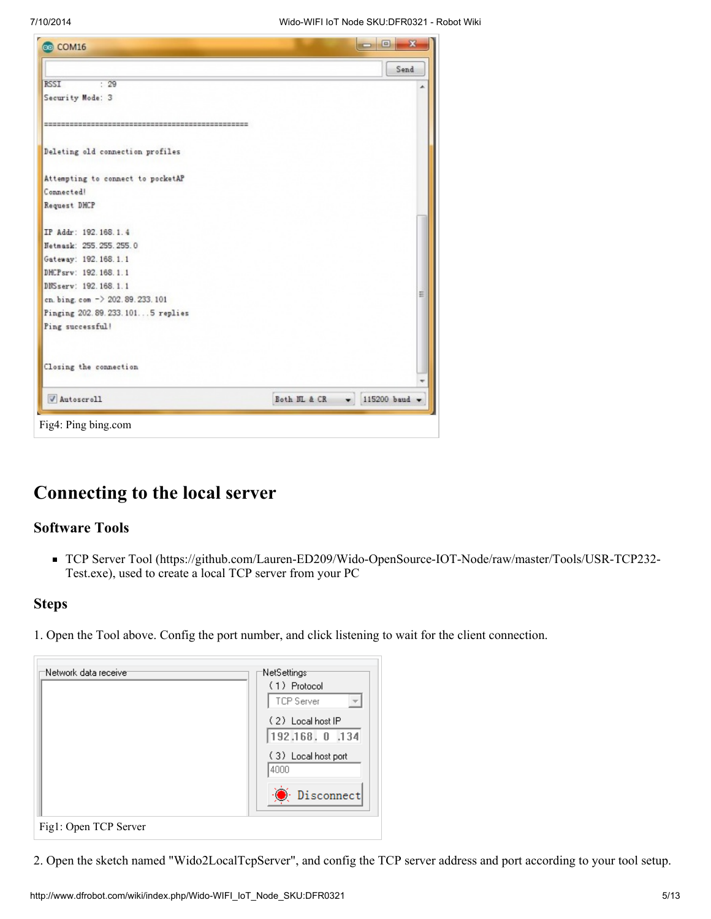| co COM16                          |               | $\Box$                |
|-----------------------------------|---------------|-----------------------|
|                                   |               | Send                  |
| <b>RSSI</b><br>: 29               |               |                       |
| Security Mode: 3                  |               |                       |
|                                   |               |                       |
| Deleting old connection profiles  |               |                       |
| Attempting to connect to pocketAP |               |                       |
| Connected!                        |               |                       |
| Request DHCP                      |               |                       |
| IP Addr: 192.168.1.4              |               |                       |
| Netmask: 255.255.255.0            |               |                       |
| Gateway: 192.168.1.1              |               |                       |
| DHCPsrv: 192.168.1.1              |               |                       |
| DNSserv: 192.168.1.1              |               |                       |
| cn. bing. com -> 202.89.233.101   |               | ≝                     |
| Pinging 202.89.233.1015 replies   |               |                       |
| Ping successful!                  |               |                       |
| Closing the connection            |               |                       |
| V Autoscroll                      | Both IIL & CR | $\bullet$ 115200 baud |

## <span id="page-4-0"></span>Connecting to the local server

#### <span id="page-4-1"></span>Software Tools

■ TCP Server Tool [\(https://github.com/Lauren-ED209/Wido-OpenSource-IOT-Node/raw/master/Tools/USR-TCP232-](https://github.com/Lauren-ED209/Wido-OpenSource-IOT-Node/raw/master/Tools/USR-TCP232-Test.exe) Test.exe), used to create a local TCP server from your PC

#### <span id="page-4-2"></span>**Steps**

1. Open the Tool above. Config the port number, and click listening to wait for the client connection.

| =Network data receive: | :NetSettings:                                     |
|------------------------|---------------------------------------------------|
|                        | (1) Protocol<br>TCP Server<br>$\overline{\nabla}$ |
|                        | (2) Local host IP<br>192.168.0.134                |
|                        | (3) Local host port<br>4000                       |
|                        | <b>O</b> Disconnect                               |
| Fig1: Open TCP Server  |                                                   |

2. Open the sketch named "Wido2LocalTcpServer", and config the TCP server address and port according to your tool setup.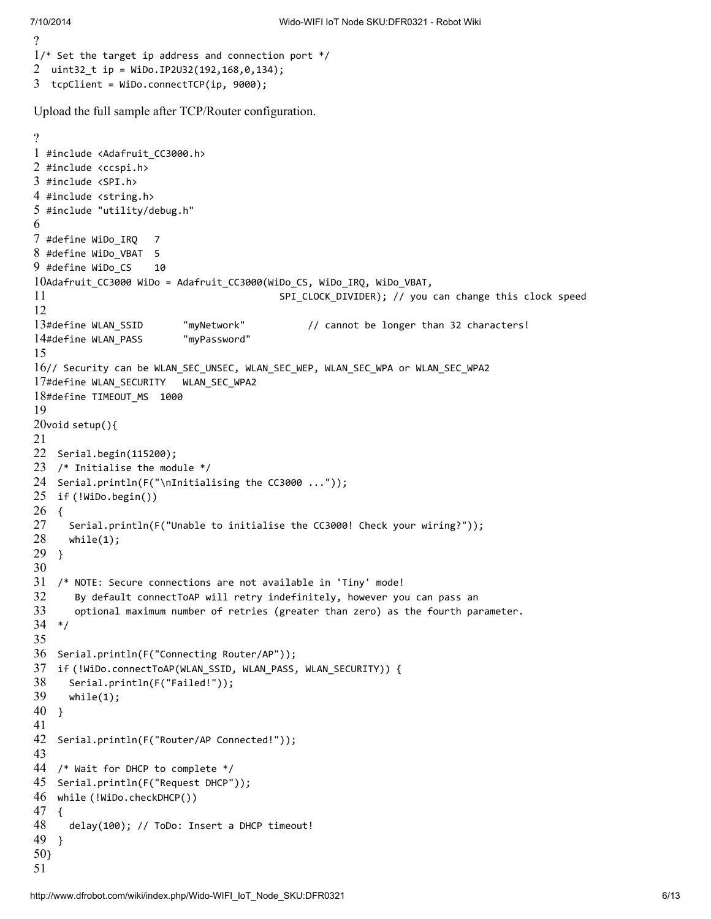```
?
1
/* Set the target ip address and connection port */
2
uint32_t ip = WiDo.IP2U32(192,168,0,134);
3
tcpClient = WiDo.connectTCP(ip, 9000);
```
Upload the full sample after TCP/Router configuration.

```
?
1
#include <Adafruit_CC3000.h>
2
#include <ccspi.h>
3
#include <SPI.h>
4
#include <string.h>
5
#include "utility/debug.h"
6
7
#define WiDo_IRQ 7
8
#define WiDo_VBAT 5
9
#define WiDo_CS 10
10
Adafruit_CC3000 WiDo = Adafruit_CC3000(WiDo_CS, WiDo_IRQ, WiDo_VBAT,
11
12
13#define WLAN SSID
14
#define WLAN_PASS "myPassword"
15
16
// Security can be WLAN_SEC_UNSEC, WLAN_SEC_WEP, WLAN_SEC_WPA or WLAN_SEC_WPA2
17
#define WLAN_SECURITY WLAN_SEC_WPA2
18
#define TIMEOUT_MS 1000
19
20
void setup(){
21
22
Serial.begin(115200);
23
/* Initialise the module */
24
Serial.println(F("\nInitialising the CC3000 ..."));
25
if (!WiDo.begin())
26
{
27
28
29
}
30
31
32
33
34
*/
35
36
Serial.println(F("Connecting Router/AP"));
37
if (!WiDo.connectToAP(WLAN_SSID, WLAN_PASS, WLAN_SECURITY)) {
38
39
40
}
41
42
Serial.println(F("Router/AP Connected!"));
43
44
/* Wait for DHCP to complete */
45
Serial.println(F("Request DHCP"));
46
while (!WiDo.checkDHCP())
47
{
48
49
}
50
}51
                                          SPI CLOCK DIVIDER); // you can change this clock speed
                          "myNetwork" // cannot be longer than 32 characters!
      Serial.println(F("Unable to initialise the CC3000! Check your wiring?"));
      while(1);
   /* NOTE: Secure connections are not available in 'Tiny' mode!
      By default connectToAP will retry indefinitely, however you can pass an
      optional maximum number of retries (greater than zero) as the fourth parameter.
     Serial.println(F("Failed!"));
     while(1);delay(100); // ToDo: Insert a DHCP timeout!
```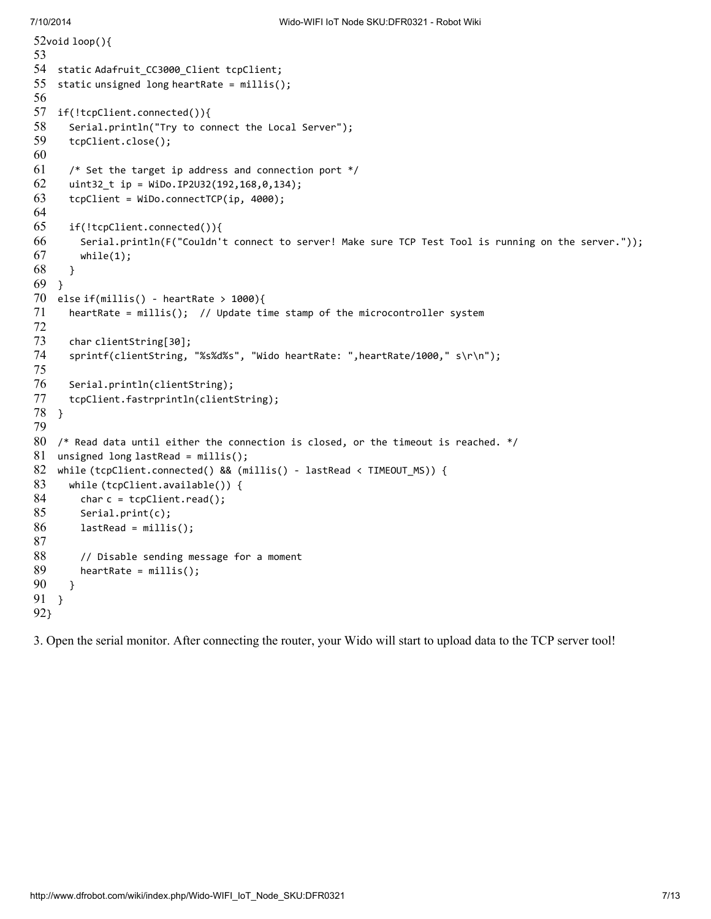```
52
void loop(){
53
54
static Adafruit_CC3000_Client tcpClient;
55
56
57
58
59
60
61
62
63
64
65
66
67
68
69
70
71
72
73
74
75
76
77
78
79
80
81
82
83
84
85
86
87
88
89
90
91
}
92
}
    static unsigned long heartRate = millis();
    if(!tcpClient.connected()){
      Serial.println("Try to connect the Local Server");
      tcpClient.close();
      /* Set the target ip address and connection port */
      uint32_t ip = WiDo.IP2U32(192,168,0,134);
      tcpClient = WiDo.connectTCP(ip, 4000);
      if(!tcpClient.connected()){
        Serial.println(F("Couldn't connect to server! Make sure TCP Test Tool is running on the server."));
        while(1);
      }
    }
    else if(millis() - heartRate > 1000){
      heartRate = millis(); // Update time stamp of the microcontroller system
      char clientString[30];
      sprintf(clientString, "%s%d%s", "Wido heartRate: ",heartRate/1000," s\r\n");
      Serial.println(clientString);
      tcpClient.fastrprintln(clientString);
    }
    /* Read data until either the connection is closed, or the timeout is reached. */
    unsigned long lastRead = millis();
    while (tcpClient.connected() && (millis() - lastRead < TIMEOUT_MS)) {
      while (tcpClient.available()) {
        char c = \text{tcpClient.read});
        Serial.print(c);
        lastRead = millis();
        // Disable sending message for a moment
        heartRate = millis();
      }
```
3. Open the serial monitor. After connecting the router, your Wido will start to upload data to the TCP server tool!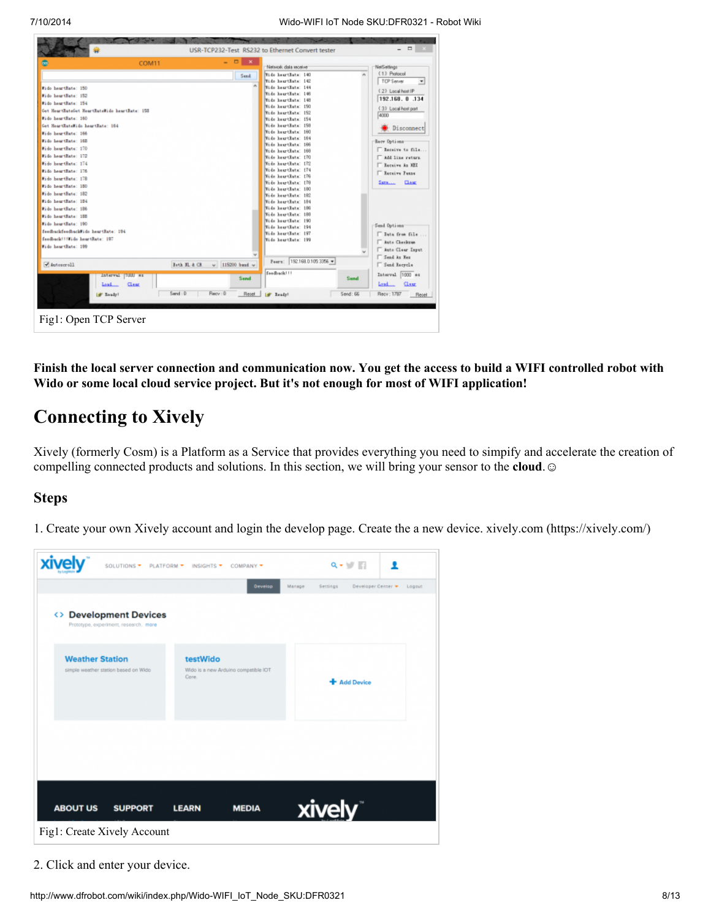

Finish the local server connection and communication now. You get the access to build a WIFI controlled robot with Wido or some local cloud service project. But it's not enough for most of WIFI application!

#### <span id="page-7-0"></span>Connecting to Xively

Xively (formerly Cosm) is a Platform as a Service that provides everything you need to simpify and accelerate the creation of compelling connected products and solutions. In this section, we will bring your sensor to the **cloud**.

#### <span id="page-7-1"></span>Steps

1. Create your own Xively account and login the develop page. Create the a new device. xively.com [\(https://xively.com/\)](https://xively.com/)



2. Click and enter your device.

http://www.dfrobot.com/wiki/index.php/Wido-WIFI\_IoT\_Node\_SKU:DFR0321 8/13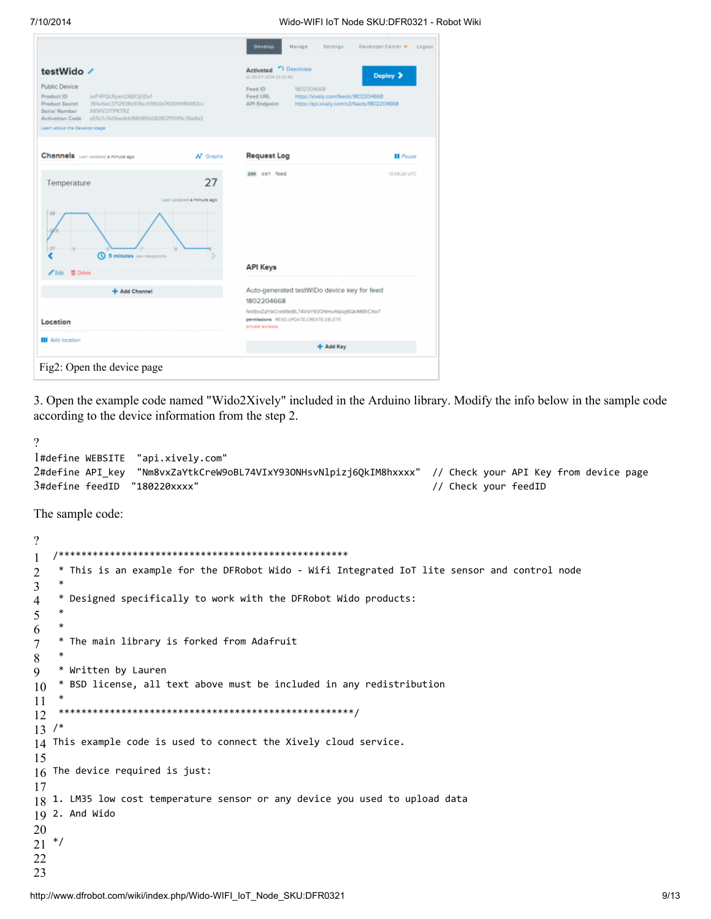7/10/2014 Wido-WIFI IoT Node SKU:DFR0321 - Robot Wiki

| testWido /                                                                                                                                                                                                                                                              |                                 | <sup>1</sup> Desctivate<br><b>Activated</b><br>at 30-07-2014 21:20:40                                                                         | Deploy >        |  |
|-------------------------------------------------------------------------------------------------------------------------------------------------------------------------------------------------------------------------------------------------------------------------|---------------------------------|-----------------------------------------------------------------------------------------------------------------------------------------------|-----------------|--|
| <b>Public Device</b><br>Product ID<br>axF4PQLRyam2ABOj0Dx1<br>784e6ec3712938a93fec59fb0a760094f66f83cc<br><b>Product Secret</b><br>Serial Number<br>XKWV37TPKTRZ<br><b>Activation Code</b><br>a51b7c7e0bedbbf88085b582812f110f9c39e8a2<br>Learn about the Develop stage |                                 | Feed ID<br>1802204668<br>Feed URL<br>https://xively.com/feeds/1802204668<br><b>API Endpoint</b><br>https://api.xively.com/v2/feeds/1802204668 |                 |  |
| Channels Last updated a minute ago                                                                                                                                                                                                                                      | $N$ Graphs                      | <b>Request Log</b>                                                                                                                            | <b>II</b> Pause |  |
| Temperature<br>20<br>27<br><b>Q</b> 5 minutes raw datapoints<br>Edit <i>B</i> Delete                                                                                                                                                                                    | 27<br>Last updated a minute ago | 200 GET feed<br><b>API Keys</b>                                                                                                               | 13:09:20 UTC    |  |
| + Add Channel                                                                                                                                                                                                                                                           |                                 | Auto-generated testWIDo device key for feed                                                                                                   |                 |  |
| Location                                                                                                                                                                                                                                                                |                                 | 1802204668<br>NmBwZaYtkCreW9oBL74VIxY93ONHsvNlpizj6QkIM8hCXwT<br>permissions READ, UPDATE, CREATE, DELETE<br>private accesss                  |                 |  |
| <b>Add location</b>                                                                                                                                                                                                                                                     |                                 | + Add Key                                                                                                                                     |                 |  |

3. Open the example code named "Wido2Xively" included in the Arduino library. Modify the info below in the sample code according to the device information from the step 2.

```
?
1
#define WEBSITE "api.xively.com"
2
#define API_key "Nm8vxZaYtkCreW9oBL74VIxY93ONHsvNlpizj6QkIM8hxxxx" // Check your API Key from device page
3
#define feedID "180220xxxx" // Check your feedID
```
The sample code:

```
?
1
2
3
4
5
6
7
8
9
10
11
12
13
/*
14
This example code is used to connect the Xively cloud service.
15
16
The device required is just:
17
18
1. LM35 low cost temperature sensor or any device you used to upload data
19
2. And Wido
20
21
*/22
23
   /***************************************************
    * This is an example for the DFRobot Wido - Wifi Integrated IoT lite sensor and control node
    *
    * Designed specifically to work with the DFRobot Wido products:
    *
    *
    * The main library is forked from Adafruit
    *
    * Written by Lauren
    * BSD license, all text above must be included in any redistribution
    *
    ****************************************************/
```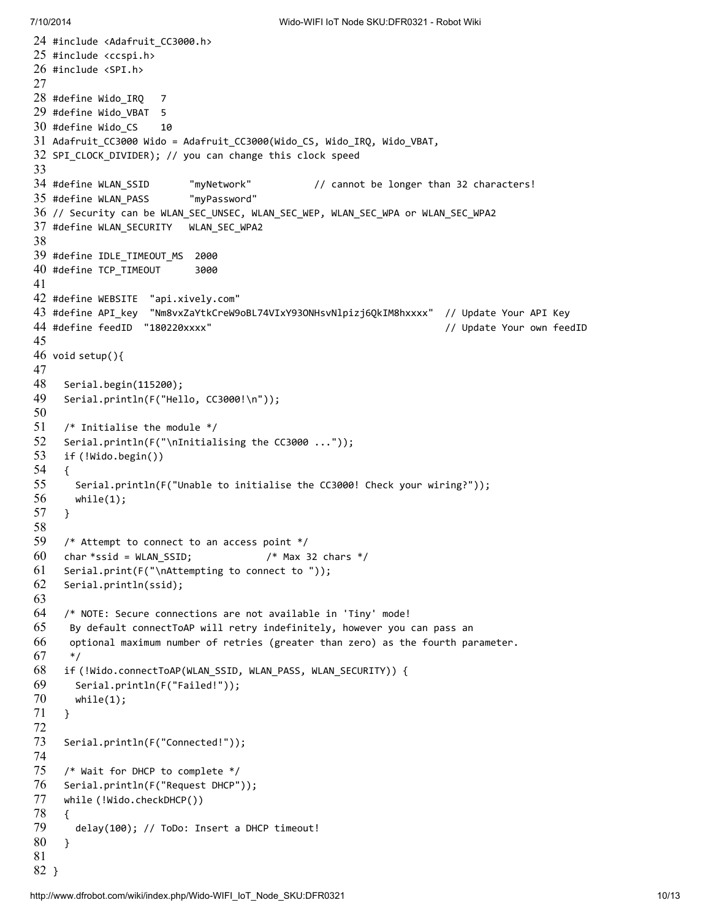```
24
#include <Adafruit_CC3000.h>
25
#include <ccspi.h>
26
#include <SPI.h>
27
28
#define Wido_IRQ 7
29
#define Wido_VBAT 5
30
#define Wido_CS 10
31
Adafruit_CC3000 Wido = Adafruit_CC3000(Wido_CS, Wido_IRQ, Wido_VBAT,
32
SPI_CLOCK_DIVIDER); // you can change this clock speed
33
34 #define WLAN SSID
35
#define WLAN_PASS "myPassword"
36
// Security can be WLAN_SEC_UNSEC, WLAN_SEC_WEP, WLAN_SEC_WPA or WLAN_SEC_WPA2
37
#define WLAN_SECURITY WLAN_SEC_WPA2
38
39
#define IDLE_TIMEOUT_MS 2000
40
#define TCP_TIMEOUT 3000
41
42
#define WEBSITE "api.xively.com"
43
#define API_key "Nm8vxZaYtkCreW9oBL74VIxY93ONHsvNlpizj6QkIM8hxxxx" // Update Your API Key
44
#define feedID "180220xxxx" // Update Your own feedID
45
46
void setup(){
47
48
49
50
51
52
53
54
55
56
57
58
59
60
61
62
63
64
65
66
67
68
69
70
71
72
73
74
75
76
77
78
79
80
81
82
}"myNetwork" // cannot be longer than 32 characters!
     Serial.begin(115200);
     Serial.println(F("Hello, CC3000!\n"));
     /* Initialise the module */
     Serial.println(F("\nInitialising the CC3000 ..."));
     if (!Wido.begin())
     {
      Serial.println(F("Unable to initialise the CC3000! Check your wiring?"));
      while(1);
     }
     /* Attempt to connect to an access point */
     char *ssid = WLAN SSD; /* Max 32 chars */Serial.print(F("\nAttempting to connect to "));
     Serial.println(ssid);
     /* NOTE: Secure connections are not available in 'Tiny' mode!
      By default connectToAP will retry indefinitely, however you can pass an
      optional maximum number of retries (greater than zero) as the fourth parameter.
      */
     if (!Wido.connectToAP(WLAN_SSID, WLAN_PASS, WLAN_SECURITY)) {
       Serial.println(F("Failed!"));
      while(1);
     }
     Serial.println(F("Connected!"));
     /* Wait for DHCP to complete */
     Serial.println(F("Request DHCP"));
     while (!Wido.checkDHCP())
     {
       delay(100); // ToDo: Insert a DHCP timeout!
     }
```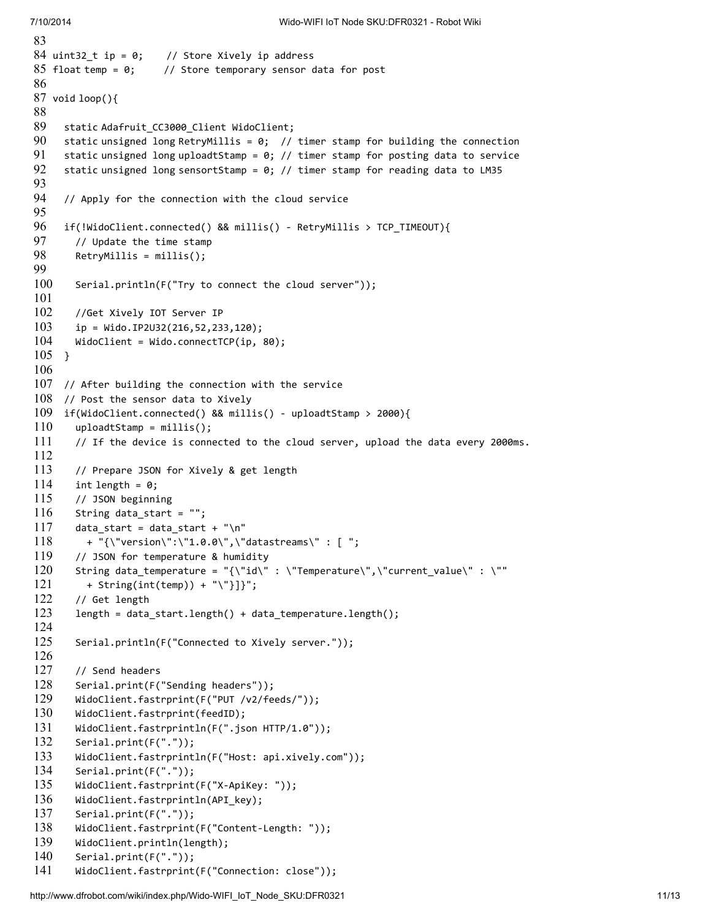```
83
84 uint32 t ip = 0;
85 float temp = 0;
86
87
void loop(){
88
89
90
91
92
93
94
95
96
97
98
99
100
101
102
103
104
105
}
106
107
// After building the connection with the service
108
// Post the sensor data to Xively
109
if(WidoClient.connected() && millis() - uploadtStamp > 2000){
110
111
112
113
114
115
116
117
118
119
120
121
122
123
124
125
126
127
128
129
130
131
132
133
134
135
136
137
138
139
140
141
                    // Store Xively ip address
                     // Store temporary sensor data for post
     static Adafruit_CC3000_Client WidoClient;
     static unsigned long RetryMillis = 0; // timer stamp for building the connection
     static unsigned long uploadtStamp = 0; // timer stamp for posting data to service
     static unsigned long sensortStamp = 0; // timer stamp for reading data to LM35
     // Apply for the connection with the cloud service
     if(!WidoClient.connected() && millis() - RetryMillis > TCP_TIMEOUT){
       // Update the time stamp
       RetryMillis = millis();
       Serial.println(F("Try to connect the cloud server"));
       //Get Xively IOT Server IP
       ip = Wido.ID2U32(216, 52, 233, 120);WidoClient = Wido.connectTCP(ip, 80);
       uploadtStamp = millis();
       // If the device is connected to the cloud server, upload the data every 2000ms.
       // Prepare JSON for Xively & get length
       int length = 0;// JSON beginning
       String data_start = "";
       data\_start = data\_start + "\n"+ "{\"version\":\"1.0.0\",\"datastreams\" : [ ";
       // JSON for temperature & humidity
       String data_temperature = "{\"id\" : \"Temperature\",\"current_value\" : \""
         + String(int(temp)) + "\"}]}";
       // Get length
       length = data_start.length() + data_temperature.length();
       Serial.println(F("Connected to Xively server."));
       // Send headers
       Serial.print(F("Sending headers"));
       WidoClient.fastrprint(F("PUT /v2/feeds/"));
       WidoClient.fastrprint(feedID);
       WidoClient.fastrprintln(F(".json HTTP/1.0"));
       Serial.print(F("."));
       WidoClient.fastrprintln(F("Host: api.xively.com"));
       Serial.print(F("."));
       WidoClient.fastrprint(F("X-ApiKey: "));
       WidoClient.fastrprintln(API key);
       Serial.print(F("."));
       WidoClient.fastrprint(F("Content-Length: "));
       WidoClient.println(length);
       Serial.print(F("."));
       WidoClient.fastrprint(F("Connection: close"));
```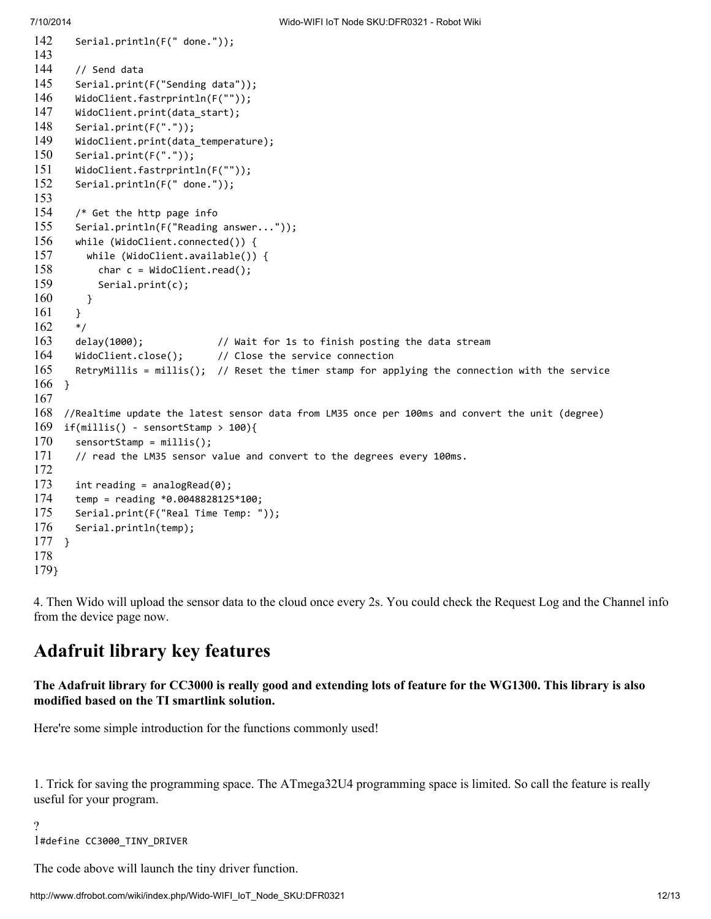```
142
143
144
145
146
147
148
149
150
151
152
153
154
155
156
157
158
159
160
161
162
163
164
165
166
}
167
168
//Realtime update the latest sensor data from LM35 once per 100ms and convert the unit (degree)
169
if(millis() - sensortStamp > 100){
170
171
172
173
174
175
176
177
}
178
179
}
       Serial.println(F(" done."));
       // Send data
       Serial.print(F("Sending data"));
       WidoClient.fastrprintln(F(""));
       WidoClient.print(data_start);
       Serial.print(F("."));
       WidoClient.print(data_temperature);
       Serial.print(F("."));
       WidoClient.fastrprintln(F(""));
       Serial.println(F(" done."));
       /* Get the http page info
       Serial.println(F("Reading answer..."));
       while (WidoClient.connected()) {
         while (WidoClient.available()) {
           char c = WidoClient.read();
           Serial.print(c);
         }
       }
       */
       delay(1000); // Wait for 1s to finish posting the data stream
       WidoClient.close(); // Close the service connection
       RetryMillis = millis(); // Reset the timer stamp for applying the connection with the service
       sensortStamp = millis();
       // read the LM35 sensor value and convert to the degrees every 100ms.
       int reading = analogRead(0);temp = reading *0.0048828125*100;
       Serial.print(F("Real Time Temp: "));
       Serial.println(temp);
```
4. Then Wido will upload the sensor data to the cloud once every 2s. You could check the Request Log and the Channel info from the device page now.

## <span id="page-11-0"></span>Adafruit library key features

The Adafruit library for CC3000 is really good and extending lots of feature for the WG1300. This library is also modified based on the TI smartlink solution.

Here're some simple introduction for the functions commonly used!

1. Trick for saving the programming space. The ATmega32U4 programming space is limited. So call the feature is really useful for your program.

?

1#define CC3000\_TINY\_DRIVER

The code above will launch the tiny driver function.